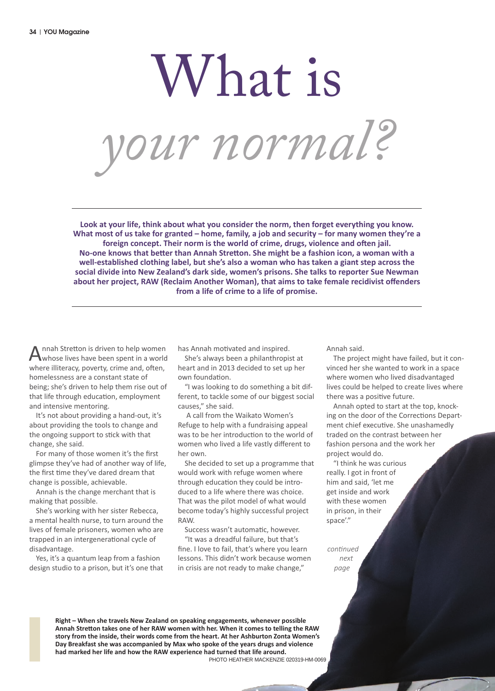# What is *your normal?*

**Look at your life, think about what you consider the norm, then forget everything you know. What most of us take for granted – home, family, a job and security – for many women they're a foreign concept. Their norm is the world of crime, drugs, violence and often jail. No-one knows that better than Annah Stretton. She might be a fashion icon, a woman with a well-established clothing label, but she's also a woman who has taken a giant step across the social divide into New Zealand's dark side, women's prisons. She talks to reporter Sue Newman about her project, RAW (Reclaim Another Woman), that aims to take female recidivist offenders from a life of crime to a life of promise.**

Annah Stretton is driven to help women<br>whose lives have been spent in a world where illiteracy, poverty, crime and, often, homelessness are a constant state of being; she's driven to help them rise out of that life through education, employment and intensive mentoring.

It's not about providing a hand-out, it's about providing the tools to change and the ongoing support to stick with that change, she said.

For many of those women it's the first glimpse they've had of another way of life, the first time they've dared dream that change is possible, achievable.

Annah is the change merchant that is making that possible.

She's working with her sister Rebecca, a mental health nurse, to turn around the lives of female prisoners, women who are trapped in an intergenerational cycle of disadvantage.

Yes, it's a quantum leap from a fashion design studio to a prison, but it's one that has Annah motivated and inspired.

She's always been a philanthropist at heart and in 2013 decided to set up her own foundation.

"I was looking to do something a bit different, to tackle some of our biggest social causes," she said.

 A call from the Waikato Women's Refuge to help with a fundraising appeal was to be her introduction to the world of women who lived a life vastly different to her own.

She decided to set up a programme that would work with refuge women where through education they could be introduced to a life where there was choice. That was the pilot model of what would become today's highly successful project RAW.

Success wasn't automatic, however. "It was a dreadful failure, but that's fine. I love to fail, that's where you learn lessons. This didn't work because women in crisis are not ready to make change,"

Annah said.

The project might have failed, but it convinced her she wanted to work in a space where women who lived disadvantaged lives could be helped to create lives where there was a positive future.

Annah opted to start at the top, knocking on the door of the Corrections Department chief executive. She unashamedly traded on the contrast between her fashion persona and the work her project would do.

"I think he was curious really. I got in front of him and said, 'let me get inside and work with these women in prison, in their space'."

*continued next page*

**Right – When she travels New Zealand on speaking engagements, whenever possible Annah Stretton takes one of her RAW women with her. When it comes to telling the RAW story from the inside, their words come from the heart. At her Ashburton Zonta Women's Day Breakfast she was accompanied by Max who spoke of the years drugs and violence had marked her life and how the RAW experience had turned that life around.**

PHOTO HEATHER MACKENZIE 020319-HM-0069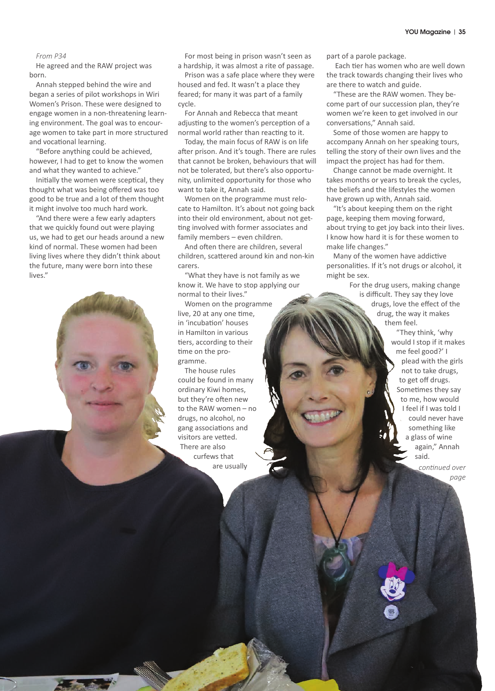## *From P34*

He agreed and the RAW project was born.

Annah stepped behind the wire and began a series of pilot workshops in Wiri Women's Prison. These were designed to engage women in a non-threatening learning environment. The goal was to encourage women to take part in more structured and vocational learning.

"Before anything could be achieved, however, I had to get to know the women and what they wanted to achieve."

Initially the women were sceptical, they thought what was being offered was too good to be true and a lot of them thought it might involve too much hard work.

"And there were a few early adapters that we quickly found out were playing us, we had to get our heads around a new kind of normal. These women had been living lives where they didn't think about the future, many were born into these lives."

For most being in prison wasn't seen as a hardship, it was almost a rite of passage.

Prison was a safe place where they were housed and fed. It wasn't a place they feared; for many it was part of a family cycle.

For Annah and Rebecca that meant adjusting to the women's perception of a normal world rather than reacting to it.

Today, the main focus of RAW is on life after prison. And it's tough. There are rules that cannot be broken, behaviours that will not be tolerated, but there's also opportunity, unlimited opportunity for those who want to take it, Annah said.

Women on the programme must relocate to Hamilton. It's about not going back into their old environment, about not getting involved with former associates and family members – even children.

And often there are children, several children, scattered around kin and non-kin carers.

"What they have is not family as we know it. We have to stop applying our normal to their lives."

Women on the programme live, 20 at any one time, in 'incubation' houses in Hamilton in various tiers, according to their time on the programme.

The house rules could be found in many ordinary Kiwi homes, but they're often new to the RAW women – no drugs, no alcohol, no gang associations and visitors are vetted. There are also curfews that are usually

part of a parole package.

 Each tier has women who are well down the track towards changing their lives who are there to watch and guide.

"These are the RAW women. They become part of our succession plan, they're women we're keen to get involved in our conversations," Annah said.

Some of those women are happy to accompany Annah on her speaking tours, telling the story of their own lives and the impact the project has had for them.

Change cannot be made overnight. It takes months or years to break the cycles, the beliefs and the lifestyles the women have grown up with, Annah said.

"It's about keeping them on the right page, keeping them moving forward, about trying to get joy back into their lives. I know how hard it is for these women to make life changes."

Many of the women have addictive personalities. If it's not drugs or alcohol, it might be sex.

> For the drug users, making change is difficult. They say they love drugs, love the effect of the drug, the way it makes them feel.

> > "They think, 'why would I stop if it makes me feel good?' I plead with the girls not to take drugs, to get off drugs. Sometimes they say to me, how would I feel if I was told I could never have something like a glass of wine again," Annah said.

> > > *continued over page*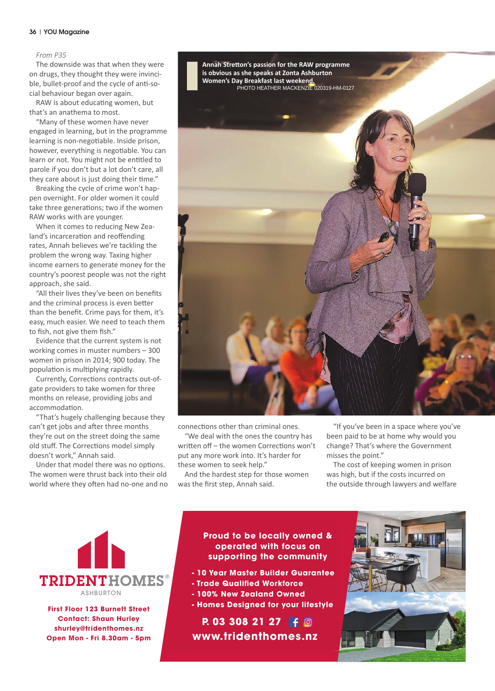### 36 | YOU Magazine

### *From P35*

The downside was that when they were on drugs, they thought they were invincible, bullet-proof and the cycle of anti-social behaviour began over again.

RAW is about educating women, but that's an anathema to most.

"Many of these women have never engaged in learning, but in the programme learning is non-negotiable. Inside prison, however, everything is negotiable. You can learn or not. You might not be entitled to parole if you don't but a lot don't care, all they care about is just doing their time."

Breaking the cycle of crime won't happen overnight. For older women it could take three generations; two if the women RAW works with are younger.

When it comes to reducing New Zealand's incarceration and reoffending rates, Annah believes we're tackling the problem the wrong way. Taxing higher income earners to generate money for the country's poorest people was not the right approach, she said.

"All their lives they've been on benefits and the criminal process is even better than the benefit. Crime pays for them, it's easy, much easier. We need to teach them to fish, not give them fish."

Evidence that the current system is not working comes in muster numbers – 300 women in prison in 2014; 900 today. The population is multiplying rapidly.

Currently, Corrections contracts out-ofgate providers to take women for three months on release, providing jobs and accommodation.

"That's hugely challenging because they can't get jobs and after three months they're out on the street doing the same old stuff. The Corrections model simply doesn't work," Annah said.

Under that model there was no options. The women were thrust back into their old world where they often had no-one and no



connections other than criminal ones.

"We deal with the ones the country has written off – the women Corrections won't put any more work into. It's harder for these women to seek help."

And the hardest step for those women was the first step, Annah said.

"If you've been in a space where you've been paid to be at home why would you change? That's where the Government misses the point."

The cost of keeping women in prison was high, but if the costs incurred on the outside through lawyers and welfare



**First Floor 123 Burnett Street Contact: Shaun Hurley shurley@tridenthomes.nz Open Mon - Fri 8.30am - 5pm First Floor 123 Burnett Street Contact: Shaun Hurley shurley@tridenthomes.nz**

# **operated with focus on Proud to be locally owned & supporting the community supporting the community operated with focus on**

- **10 Year Master Builder Guarantee 10 Year Master Builder Guarantee**
- **Trade Qualified Workforce Trade Qualified Workforce**

**www.tridenthomes.nz**

- **100% New Zealand Owned 100% New Zealand Owned**
- **Homes Designed for your lifestyle Homes Designed for your lifestyle**

**P. 03 308 21 27 www.tridenthomes.nz P. 03 308 21 27**